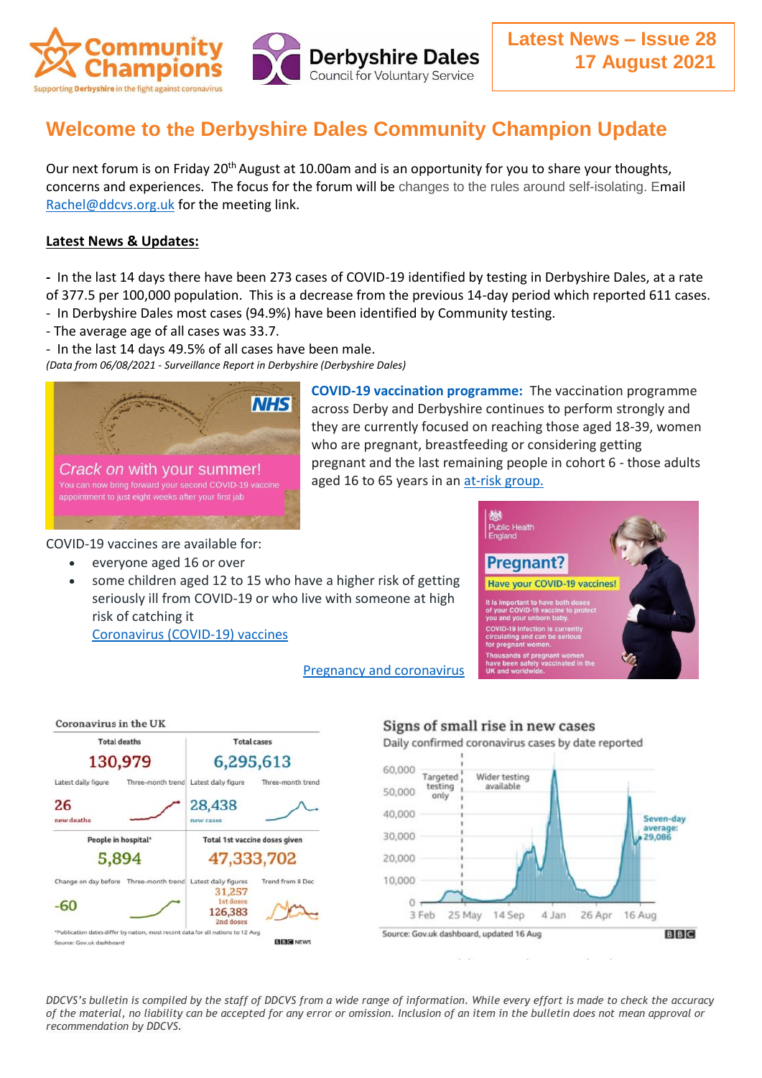

# **Welcome to the Derbyshire Dales Community Champion Update**

Our next forum is on Friday 20<sup>th</sup> August at 10.00am and is an opportunity for you to share your thoughts, concerns and experiences. The focus for the forum will be changes to the rules around self-isolating. Email [Rachel@ddcvs.org.uk](mailto:Rachel@ddcvs.org.uk) for the meeting link.

### **Latest News & Updates:**

**-** In the last 14 days there have been 273 cases of COVID-19 identified by testing in Derbyshire Dales, at a rate of 377.5 per 100,000 population. This is a decrease from the previous 14-day period which reported 611 cases. - In Derbyshire Dales most cases (94.9%) have been identified by Community testing.

- The average age of all cases was 33.7.
- In the last 14 days 49.5% of all cases have been male.

*(Data from 06/08/2021 - Surveillance Report in Derbyshire (Derbyshire Dales)*



**COVID-19 vaccination programme:** The vaccination programme across Derby and Derbyshire continues to perform strongly and they are currently focused on reaching those aged 18-39, women who are pregnant, breastfeeding or considering getting pregnant and the last remaining people in cohort 6 - those adults aged 16 to 65 years in an [at-risk group.](https://www.gov.uk/government/publications/covid-19-vaccination-care-home-and-healthcare-settings-posters/covid-19-vaccination-first-phase-priority-groups)

COVID-19 vaccines are available for:

- everyone aged 16 or over
- some children aged 12 to 15 who have a higher risk of getting seriously ill from COVID-19 or who live with someone at high risk of catching it

[Coronavirus \(COVID-19\) vaccines](https://www.nhs.uk/conditions/coronavirus-covid-19/coronavirus-vaccination/coronavirus-vaccine/)





#### [Pregnancy and coronavirus](https://www.nhs.uk/conditions/coronavirus-covid-19/people-at-higher-risk/pregnancy-and-coronavirus/)

Signs of small rise in new cases Daily confirmed coronavirus cases by date reported 60,000 Targeted Wider testing testing available 50,000 only 40,000 Seven-day average:<br>29,086 30,000 20,000 10,000  $\overline{0}$ 3 Feb 25 May 14 Sep 4 Jan 26 Apr 16 Aug Source: Gov.uk dashboard, updated 16 Aug BBC

*DDCVS's bulletin is compiled by the staff of DDCVS from a wide range of information. While every effort is made to check the accuracy of the material, no liability can be accepted for any error or omission. Inclusion of an item in the bulletin does not mean approval or recommendation by DDCVS.*